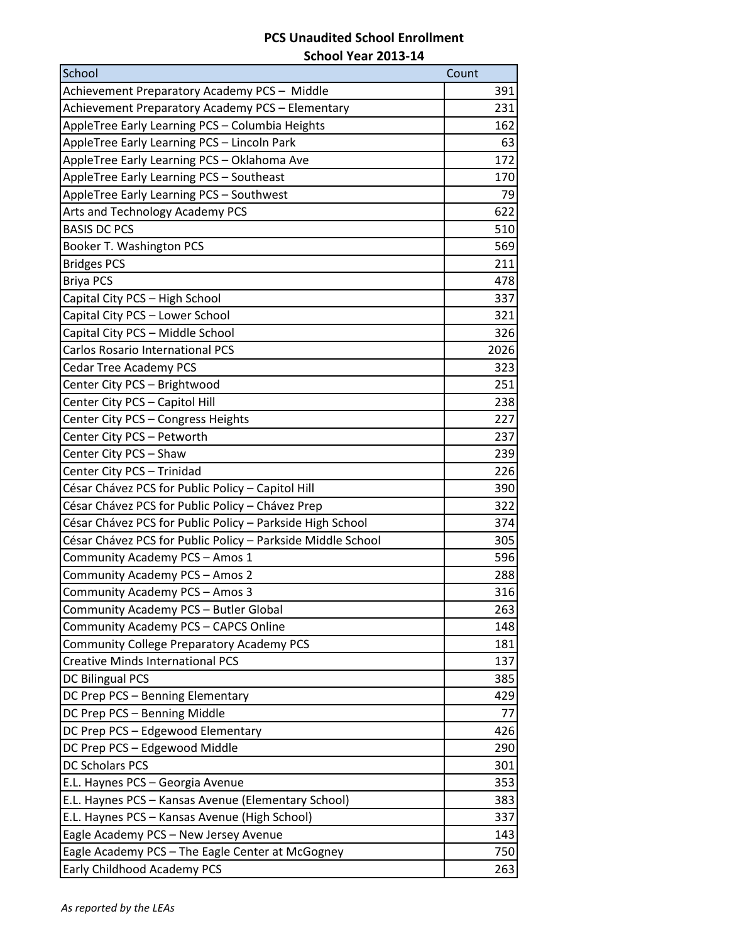## **PCS Unaudited School Enrollment**

| School Year 2013-14 |  |
|---------------------|--|
|---------------------|--|

| School                                                      | Count |
|-------------------------------------------------------------|-------|
| Achievement Preparatory Academy PCS - Middle                | 391   |
| Achievement Preparatory Academy PCS - Elementary            | 231   |
| AppleTree Early Learning PCS - Columbia Heights             | 162   |
| AppleTree Early Learning PCS - Lincoln Park                 | 63    |
| AppleTree Early Learning PCS - Oklahoma Ave                 | 172   |
| AppleTree Early Learning PCS - Southeast                    | 170   |
| AppleTree Early Learning PCS - Southwest                    | 79    |
| Arts and Technology Academy PCS                             | 622   |
| <b>BASIS DC PCS</b>                                         | 510   |
| Booker T. Washington PCS                                    | 569   |
| <b>Bridges PCS</b>                                          | 211   |
| <b>Briya PCS</b>                                            | 478   |
| Capital City PCS - High School                              | 337   |
| Capital City PCS - Lower School                             | 321   |
| Capital City PCS - Middle School                            | 326   |
| <b>Carlos Rosario International PCS</b>                     | 2026  |
| <b>Cedar Tree Academy PCS</b>                               | 323   |
| Center City PCS - Brightwood                                | 251   |
| Center City PCS - Capitol Hill                              | 238   |
| Center City PCS - Congress Heights                          | 227   |
| Center City PCS - Petworth                                  | 237   |
| Center City PCS - Shaw                                      | 239   |
| Center City PCS - Trinidad                                  | 226   |
| César Chávez PCS for Public Policy - Capitol Hill           | 390   |
| César Chávez PCS for Public Policy - Chávez Prep            | 322   |
| César Chávez PCS for Public Policy - Parkside High School   | 374   |
| César Chávez PCS for Public Policy - Parkside Middle School | 305   |
| Community Academy PCS - Amos 1                              | 596   |
| Community Academy PCS - Amos 2                              | 288   |
| Community Academy PCS - Amos 3                              | 316   |
| Community Academy PCS - Butler Global                       | 263   |
| Community Academy PCS - CAPCS Online                        | 148   |
| Community College Preparatory Academy PCS                   | 181   |
| <b>Creative Minds International PCS</b>                     | 137   |
| <b>DC Bilingual PCS</b>                                     | 385   |
| DC Prep PCS - Benning Elementary                            | 429   |
| DC Prep PCS - Benning Middle                                | 77    |
| DC Prep PCS - Edgewood Elementary                           | 426   |
| DC Prep PCS - Edgewood Middle                               | 290   |
| <b>DC Scholars PCS</b>                                      | 301   |
| E.L. Haynes PCS - Georgia Avenue                            | 353   |
| E.L. Haynes PCS - Kansas Avenue (Elementary School)         | 383   |
| E.L. Haynes PCS - Kansas Avenue (High School)               | 337   |
| Eagle Academy PCS - New Jersey Avenue                       | 143   |
| Eagle Academy PCS - The Eagle Center at McGogney            | 750   |
| Early Childhood Academy PCS                                 | 263   |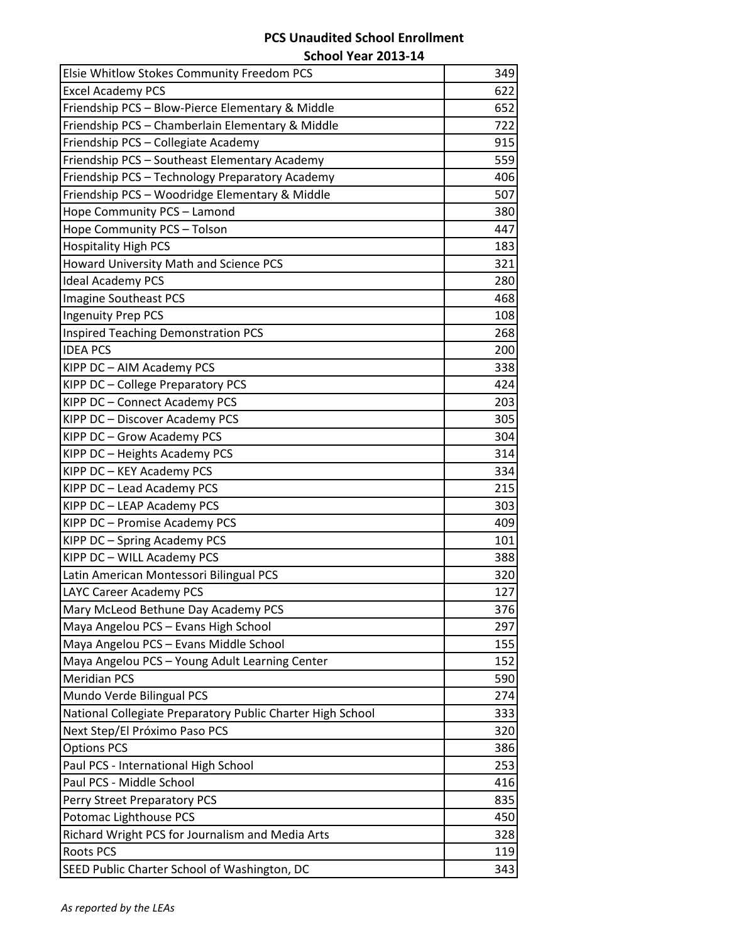## **PCS Unaudited School Enrollment**

**School Year 2013-14**

| Elsie Whitlow Stokes Community Freedom PCS                 | 349 |
|------------------------------------------------------------|-----|
| <b>Excel Academy PCS</b>                                   | 622 |
| Friendship PCS - Blow-Pierce Elementary & Middle           | 652 |
| Friendship PCS - Chamberlain Elementary & Middle           | 722 |
| Friendship PCS - Collegiate Academy                        | 915 |
| Friendship PCS - Southeast Elementary Academy              | 559 |
| Friendship PCS - Technology Preparatory Academy            | 406 |
| Friendship PCS - Woodridge Elementary & Middle             | 507 |
| Hope Community PCS - Lamond                                | 380 |
| Hope Community PCS - Tolson                                | 447 |
| <b>Hospitality High PCS</b>                                | 183 |
| Howard University Math and Science PCS                     | 321 |
| <b>Ideal Academy PCS</b>                                   | 280 |
| Imagine Southeast PCS                                      | 468 |
| <b>Ingenuity Prep PCS</b>                                  | 108 |
| <b>Inspired Teaching Demonstration PCS</b>                 | 268 |
| <b>IDEA PCS</b>                                            | 200 |
| KIPP DC - AIM Academy PCS                                  | 338 |
| KIPP DC - College Preparatory PCS                          | 424 |
| KIPP DC - Connect Academy PCS                              | 203 |
| KIPP DC - Discover Academy PCS                             | 305 |
| KIPP DC - Grow Academy PCS                                 | 304 |
| KIPP DC - Heights Academy PCS                              | 314 |
| KIPP DC - KEY Academy PCS                                  | 334 |
| KIPP DC - Lead Academy PCS                                 | 215 |
| KIPP DC - LEAP Academy PCS                                 | 303 |
| KIPP DC - Promise Academy PCS                              | 409 |
| KIPP DC - Spring Academy PCS                               | 101 |
| KIPP DC - WILL Academy PCS                                 | 388 |
| Latin American Montessori Bilingual PCS                    | 320 |
| LAYC Career Academy PCS                                    | 127 |
| Mary McLeod Bethune Day Academy PCS                        | 376 |
| Maya Angelou PCS - Evans High School                       | 297 |
| Maya Angelou PCS - Evans Middle School                     | 155 |
| Maya Angelou PCS - Young Adult Learning Center             | 152 |
| <b>Meridian PCS</b>                                        | 590 |
| Mundo Verde Bilingual PCS                                  | 274 |
| National Collegiate Preparatory Public Charter High School | 333 |
| Next Step/El Próximo Paso PCS                              | 320 |
| <b>Options PCS</b>                                         | 386 |
| Paul PCS - International High School                       | 253 |
| Paul PCS - Middle School                                   | 416 |
| Perry Street Preparatory PCS                               | 835 |
| Potomac Lighthouse PCS                                     | 450 |
| Richard Wright PCS for Journalism and Media Arts           | 328 |
| <b>Roots PCS</b>                                           | 119 |
| SEED Public Charter School of Washington, DC               | 343 |